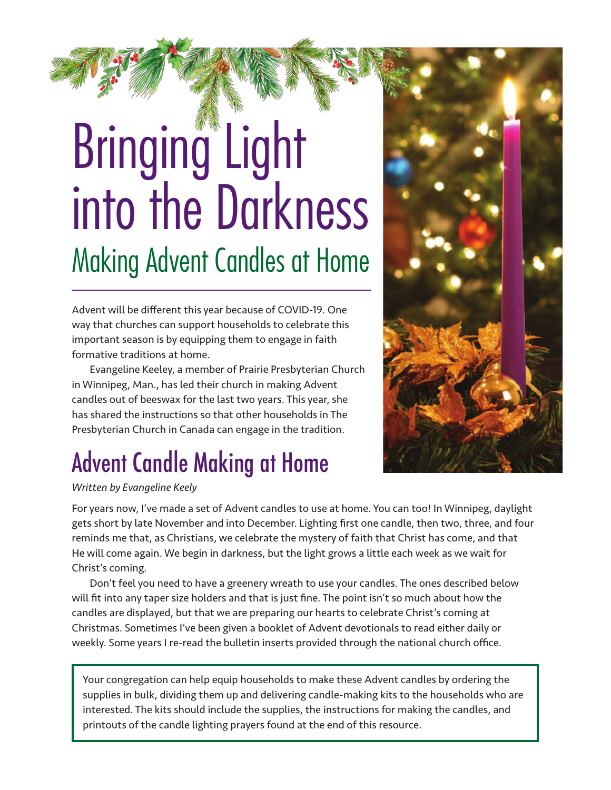# Bringing Light into the Darkness Making Advent Candles at Home

Advent will be different this year because of COVID-19. One way that churches can support households to celebrate this important season is by equipping them to engage in faith formative traditions at home.

Evangeline Keeley, a member of Prairie Presbyterian Church in Winnipeg, Man., has led their church in making Advent candles out of beeswax for the last two years. This year, she has shared the instructions so that other households in The Presbyterian Church in Canada can engage in the tradition.

# Advent Candle Making at Home

*Written by Evangeline Keely*

For years now, I've made a set of Advent candles to use at home. You can too! In Winnipeg, daylight gets short by late November and into December. Lighting first one candle, then two, three, and four reminds me that, as Christians, we celebrate the mystery of faith that Christ has come, and that He will come again. We begin in darkness, but the light grows a little each week as we wait for Christ's coming.

Don't feel you need to have a greenery wreath to use your candles. The ones described below will fit into any taper size holders and that is just fine. The point isn't so much about how the candles are displayed, but that we are preparing our hearts to celebrate Christ's coming at Christmas. Sometimes I've been given a booklet of Advent devotionals to read either daily or weekly. Some years I re-read the bulletin inserts provided through the national church office.

Your congregation can help equip households to make these Advent candles by ordering the supplies in bulk, dividing them up and delivering candle-making kits to the households who are interested. The kits should include the supplies, the instructions for making the candles, and printouts of the candle lighting prayers found at the end of this resource.

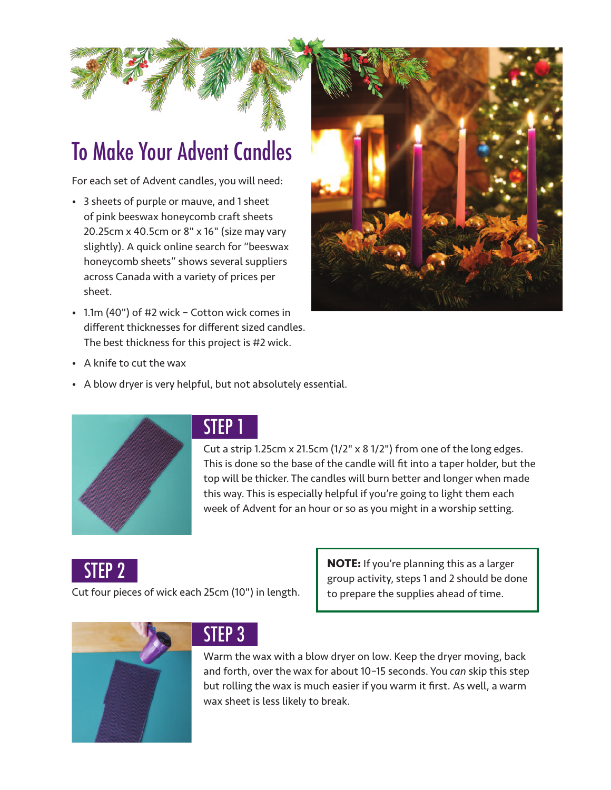# To Make Your Advent Candles

For each set of Advent candles, you will need:

- 3 sheets of purple or mauve, and 1 sheet of pink beeswax honeycomb craft sheets 20.25cm x 40.5cm or 8" x 16" (size may vary slightly). A quick online search for "beeswax honeycomb sheets" shows several suppliers across Canada with a variety of prices per sheet.
- 1.1m (40") of #2 wick Cotton wick comes in different thicknesses for different sized candles. The best thickness for this project is #2 wick.



- A knife to cut the wax
- A blow dryer is very helpful, but not absolutely essential.



#### STEP 1

Cut a strip 1.25cm x 21.5cm (1/2" x 8 1/2") from one of the long edges. This is done so the base of the candle will fit into a taper holder, but the top will be thicker. The candles will burn better and longer when made this way. This is especially helpful if you're going to light them each week of Advent for an hour or so as you might in a worship setting.

STEP 2

Cut four pieces of wick each 25cm (10") in length.

**NOTE:** If you're planning this as a larger group activity, steps 1 and 2 should be done to prepare the supplies ahead of time.



### STEP 3

Warm the wax with a blow dryer on low. Keep the dryer moving, back and forth, over the wax for about 10–15 seconds. You *can* skip this step but rolling the wax is much easier if you warm it first. As well, a warm wax sheet is less likely to break.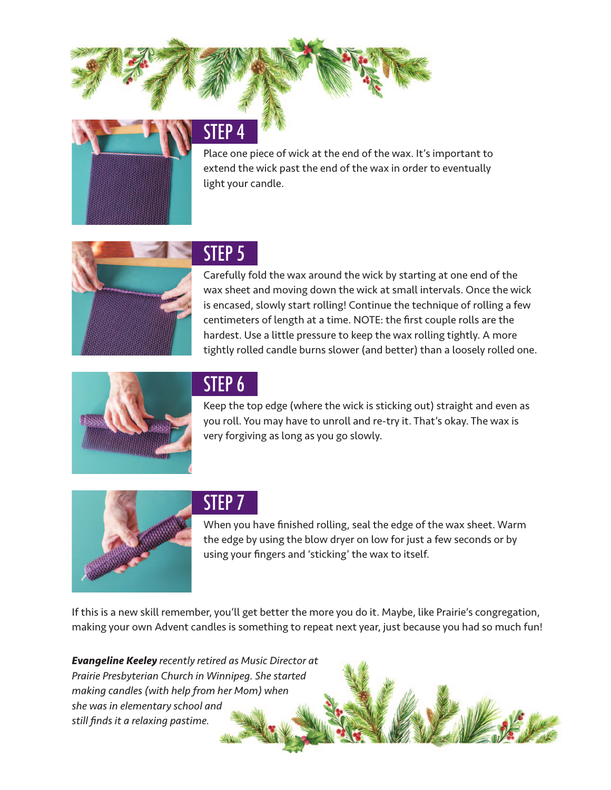### STEP 4

Place one piece of wick at the end of the wax. It's important to extend the wick past the end of the wax in order to eventually light your candle.



#### STEP 5

Carefully fold the wax around the wick by starting at one end of the wax sheet and moving down the wick at small intervals. Once the wick is encased, slowly start rolling! Continue the technique of rolling a few centimeters of length at a time. NOTE: the first couple rolls are the hardest. Use a little pressure to keep the wax rolling tightly. A more tightly rolled candle burns slower (and better) than a loosely rolled one.



### STEP 6

Keep the top edge (where the wick is sticking out) straight and even as you roll. You may have to unroll and re-try it. That's okay. The wax is very forgiving as long as you go slowly.



#### STEP 7

When you have finished rolling, seal the edge of the wax sheet. Warm the edge by using the blow dryer on low for just a few seconds or by using your fingers and 'sticking' the wax to itself.

If this is a new skill remember, you'll get better the more you do it. Maybe, like Prairie's congregation, making your own Advent candles is something to repeat next year, just because you had so much fun!

*Evangeline Keeley recently retired as Music Director at Prairie Presbyterian Church in Winnipeg. She started making candles (with help from her Mom) when she was in elementary school and still finds it a relaxing pastime.*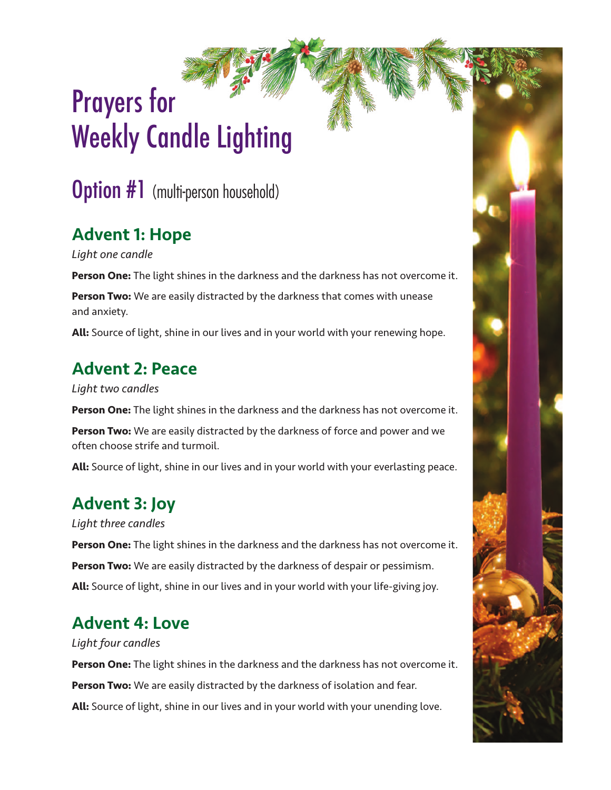# Prayers for Weekly Candle Lighting

**Option #1** (multi-person household)

## Advent 1: Hope

*Light one candle* 

**Person One:** The light shines in the darkness and the darkness has not overcome it.

**Person Two:** We are easily distracted by the darkness that comes with unease and anxiety.

**All:** Source of light, shine in our lives and in your world with your renewing hope.

#### Advent 2: Peace

*Light two candles* 

**Person One:** The light shines in the darkness and the darkness has not overcome it.

**Person Two:** We are easily distracted by the darkness of force and power and we often choose strife and turmoil.

**All:** Source of light, shine in our lives and in your world with your everlasting peace.

## Advent 3: Joy

*Light three candles* 

**Person One:** The light shines in the darkness and the darkness has not overcome it. **Person Two:** We are easily distracted by the darkness of despair or pessimism. **All:** Source of light, shine in our lives and in your world with your life-giving joy.

## Advent 4: Love

#### *Light four candles*

**Person One:** The light shines in the darkness and the darkness has not overcome it. **Person Two:** We are easily distracted by the darkness of isolation and fear. **All:** Source of light, shine in our lives and in your world with your unending love.